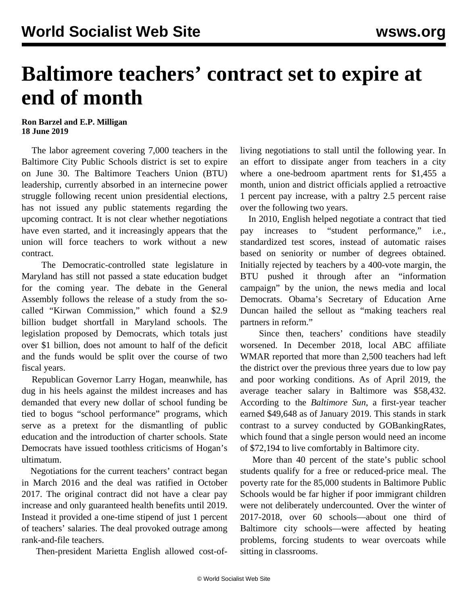## **Baltimore teachers' contract set to expire at end of month**

## **Ron Barzel and E.P. Milligan 18 June 2019**

 The labor agreement covering 7,000 teachers in the Baltimore City Public Schools district is set to expire on June 30. The Baltimore Teachers Union (BTU) leadership, currently absorbed in an internecine power struggle following recent union presidential elections, has not issued any public statements regarding the upcoming contract. It is not clear whether negotiations have even started, and it increasingly appears that the union will force teachers to work without a new contract.

 The Democratic-controlled state legislature in Maryland has still not passed a state education budget for the coming year. The debate in the General Assembly follows the release of a study from the socalled "Kirwan Commission," which found a \$2.9 billion budget shortfall in Maryland schools. The legislation proposed by Democrats, which totals just over \$1 billion, does not amount to half of the deficit and the funds would be split over the course of two fiscal years.

 Republican Governor Larry Hogan, meanwhile, has dug in his heels against the mildest increases and has demanded that every new dollar of school funding be tied to bogus "school performance" programs, which serve as a pretext for the dismantling of public education and the introduction of charter schools. State Democrats have issued toothless criticisms of Hogan's ultimatum.

 Negotiations for the current teachers' contract began in March 2016 and the deal was ratified in October 2017. The original contract did not have a clear pay increase and only guaranteed health benefits until 2019. Instead it provided a one-time stipend of just 1 percent of teachers' salaries. The deal provoked outrage among rank-and-file teachers.

Then-president Marietta English allowed cost-of-

living negotiations to stall until the following year. In an effort to dissipate anger from teachers in a city where a one-bedroom apartment rents for \$1,455 a month, union and district officials applied a retroactive 1 percent pay increase, with a paltry 2.5 percent raise over the following two years.

 In 2010, English helped negotiate a contract that tied pay increases to "student performance," i.e., standardized test scores, instead of automatic raises based on seniority or number of degrees obtained. Initially rejected by teachers by a 400-vote margin, the BTU pushed it through after an "information campaign" by the union, the news media and local Democrats. Obama's Secretary of Education Arne Duncan hailed the sellout as "making teachers real partners in reform."

 Since then, teachers' conditions have steadily worsened. In December 2018, local ABC affiliate WMAR reported that more than 2,500 teachers had left the district over the previous three years due to low pay and poor working conditions. As of April 2019, the average teacher salary in Baltimore was \$58,432. According to the *Baltimore Sun*, a first-year teacher earned \$49,648 as of January 2019. This stands in stark contrast to a survey conducted by GOBankingRates, which found that a single person would need an income of \$72,194 to live comfortably in Baltimore city.

 More than 40 percent of the state's public school students qualify for a free or reduced-price meal. The poverty rate for the 85,000 students in Baltimore Public Schools would be far higher if poor immigrant children were not deliberately undercounted. Over the winter of 2017-2018, over 60 schools—about one third of Baltimore city schools—were affected by heating problems, forcing students to wear overcoats while sitting in classrooms.